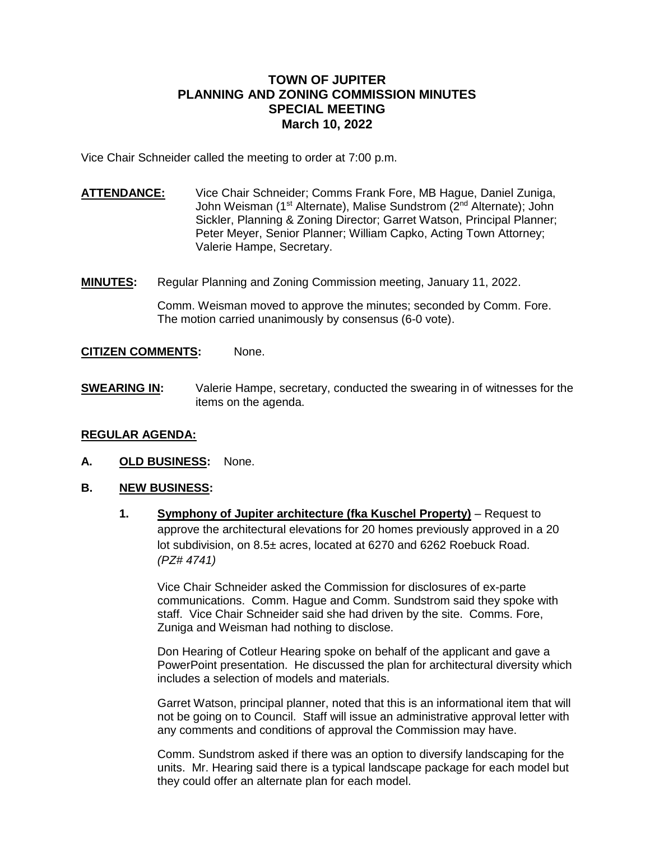#### **TOWN OF JUPITER PLANNING AND ZONING COMMISSION MINUTES SPECIAL MEETING March 10, 2022**

Vice Chair Schneider called the meeting to order at 7:00 p.m.

- **ATTENDANCE:** Vice Chair Schneider; Comms Frank Fore, MB Hague, Daniel Zuniga, John Weisman (1<sup>st</sup> Alternate), Malise Sundstrom (2<sup>nd</sup> Alternate); John Sickler, Planning & Zoning Director; Garret Watson, Principal Planner; Peter Meyer, Senior Planner; William Capko, Acting Town Attorney; Valerie Hampe, Secretary.
- **MINUTES:** Regular Planning and Zoning Commission meeting, January 11, 2022.

Comm. Weisman moved to approve the minutes; seconded by Comm. Fore. The motion carried unanimously by consensus (6-0 vote).

#### **CITIZEN COMMENTS:** None.

**SWEARING IN:** Valerie Hampe, secretary, conducted the swearing in of witnesses for the items on the agenda.

#### **REGULAR AGENDA:**

**A. OLD BUSINESS:** None.

#### **B. NEW BUSINESS:**

**1. Symphony of Jupiter architecture (fka Kuschel Property)** – Request to approve the architectural elevations for 20 homes previously approved in a 20 lot subdivision, on 8.5± acres, located at 6270 and 6262 Roebuck Road. *(PZ# 4741)*

Vice Chair Schneider asked the Commission for disclosures of ex-parte communications. Comm. Hague and Comm. Sundstrom said they spoke with staff. Vice Chair Schneider said she had driven by the site. Comms. Fore, Zuniga and Weisman had nothing to disclose.

Don Hearing of Cotleur Hearing spoke on behalf of the applicant and gave a PowerPoint presentation. He discussed the plan for architectural diversity which includes a selection of models and materials.

Garret Watson, principal planner, noted that this is an informational item that will not be going on to Council. Staff will issue an administrative approval letter with any comments and conditions of approval the Commission may have.

Comm. Sundstrom asked if there was an option to diversify landscaping for the units. Mr. Hearing said there is a typical landscape package for each model but they could offer an alternate plan for each model.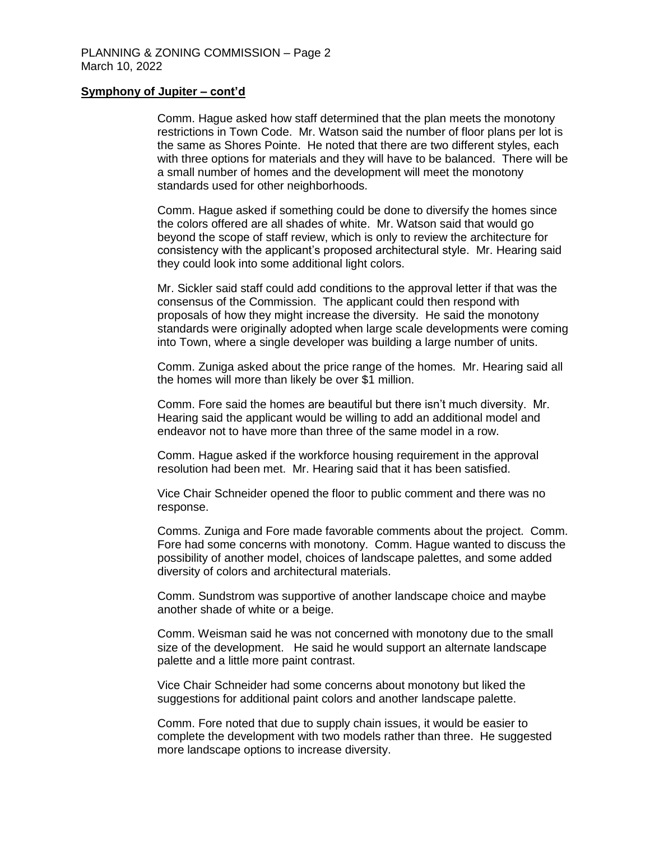#### **Symphony of Jupiter – cont'd**

Comm. Hague asked how staff determined that the plan meets the monotony restrictions in Town Code. Mr. Watson said the number of floor plans per lot is the same as Shores Pointe. He noted that there are two different styles, each with three options for materials and they will have to be balanced. There will be a small number of homes and the development will meet the monotony standards used for other neighborhoods.

Comm. Hague asked if something could be done to diversify the homes since the colors offered are all shades of white. Mr. Watson said that would go beyond the scope of staff review, which is only to review the architecture for consistency with the applicant's proposed architectural style. Mr. Hearing said they could look into some additional light colors.

Mr. Sickler said staff could add conditions to the approval letter if that was the consensus of the Commission. The applicant could then respond with proposals of how they might increase the diversity. He said the monotony standards were originally adopted when large scale developments were coming into Town, where a single developer was building a large number of units.

Comm. Zuniga asked about the price range of the homes. Mr. Hearing said all the homes will more than likely be over \$1 million.

Comm. Fore said the homes are beautiful but there isn't much diversity. Mr. Hearing said the applicant would be willing to add an additional model and endeavor not to have more than three of the same model in a row.

Comm. Hague asked if the workforce housing requirement in the approval resolution had been met. Mr. Hearing said that it has been satisfied.

Vice Chair Schneider opened the floor to public comment and there was no response.

Comms. Zuniga and Fore made favorable comments about the project. Comm. Fore had some concerns with monotony. Comm. Hague wanted to discuss the possibility of another model, choices of landscape palettes, and some added diversity of colors and architectural materials.

Comm. Sundstrom was supportive of another landscape choice and maybe another shade of white or a beige.

Comm. Weisman said he was not concerned with monotony due to the small size of the development. He said he would support an alternate landscape palette and a little more paint contrast.

Vice Chair Schneider had some concerns about monotony but liked the suggestions for additional paint colors and another landscape palette.

Comm. Fore noted that due to supply chain issues, it would be easier to complete the development with two models rather than three. He suggested more landscape options to increase diversity.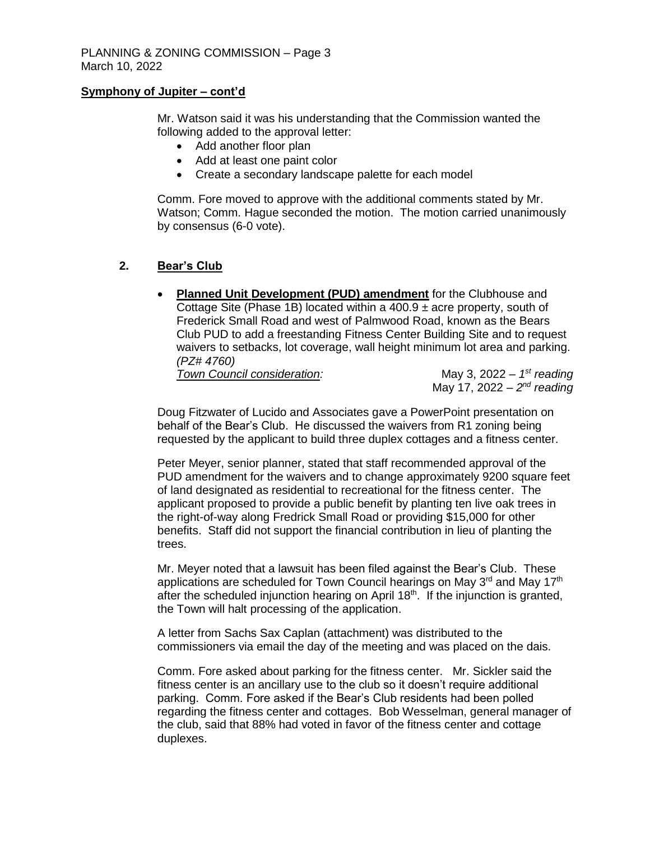#### **Symphony of Jupiter – cont'd**

Mr. Watson said it was his understanding that the Commission wanted the following added to the approval letter:

- Add another floor plan
- Add at least one paint color
- Create a secondary landscape palette for each model

Comm. Fore moved to approve with the additional comments stated by Mr. Watson; Comm. Hague seconded the motion. The motion carried unanimously by consensus (6-0 vote).

#### **2. Bear's Club**

 **Planned Unit Development (PUD) amendment** for the Clubhouse and Cottage Site (Phase 1B) located within a 400.9 ± acre property, south of Frederick Small Road and west of Palmwood Road, known as the Bears Club PUD to add a freestanding Fitness Center Building Site and to request waivers to setbacks, lot coverage, wall height minimum lot area and parking. *(PZ# 4760)*

*Town Council consideration:* 

May 3,  $2022 - 1^{st}$  *reading* May 17, 2022 – *2 nd reading* 

Doug Fitzwater of Lucido and Associates gave a PowerPoint presentation on behalf of the Bear's Club. He discussed the waivers from R1 zoning being requested by the applicant to build three duplex cottages and a fitness center.

Peter Meyer, senior planner, stated that staff recommended approval of the PUD amendment for the waivers and to change approximately 9200 square feet of land designated as residential to recreational for the fitness center. The applicant proposed to provide a public benefit by planting ten live oak trees in the right-of-way along Fredrick Small Road or providing \$15,000 for other benefits. Staff did not support the financial contribution in lieu of planting the trees.

Mr. Meyer noted that a lawsuit has been filed against the Bear's Club. These applications are scheduled for Town Council hearings on May  $3<sup>rd</sup>$  and May 17<sup>th</sup> after the scheduled injunction hearing on April 18<sup>th</sup>. If the injunction is granted, the Town will halt processing of the application.

A letter from Sachs Sax Caplan (attachment) was distributed to the commissioners via email the day of the meeting and was placed on the dais.

Comm. Fore asked about parking for the fitness center. Mr. Sickler said the fitness center is an ancillary use to the club so it doesn't require additional parking. Comm. Fore asked if the Bear's Club residents had been polled regarding the fitness center and cottages. Bob Wesselman, general manager of the club, said that 88% had voted in favor of the fitness center and cottage duplexes.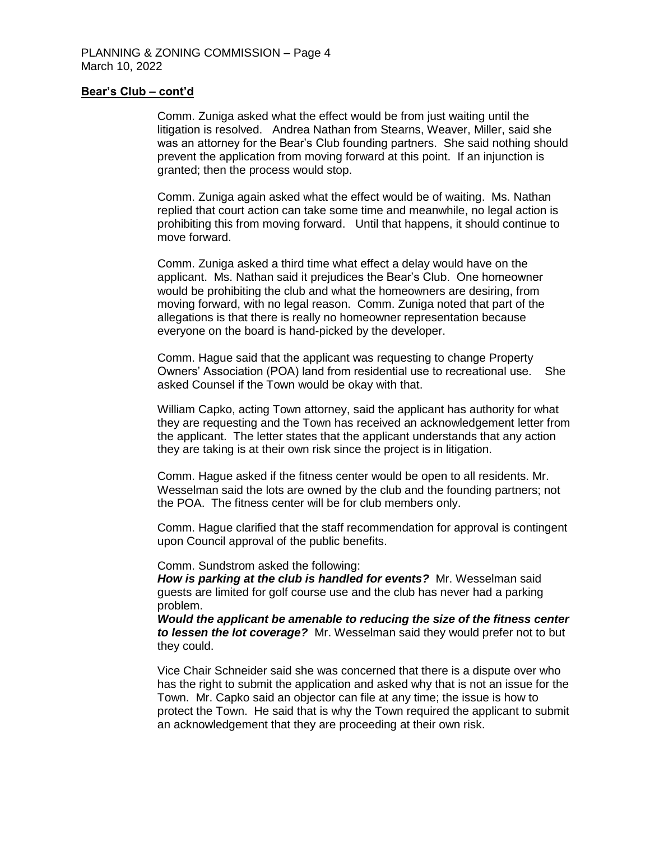#### **Bear's Club – cont'd**

Comm. Zuniga asked what the effect would be from just waiting until the litigation is resolved. Andrea Nathan from Stearns, Weaver, Miller, said she was an attorney for the Bear's Club founding partners. She said nothing should prevent the application from moving forward at this point. If an injunction is granted; then the process would stop.

Comm. Zuniga again asked what the effect would be of waiting. Ms. Nathan replied that court action can take some time and meanwhile, no legal action is prohibiting this from moving forward. Until that happens, it should continue to move forward.

Comm. Zuniga asked a third time what effect a delay would have on the applicant. Ms. Nathan said it prejudices the Bear's Club. One homeowner would be prohibiting the club and what the homeowners are desiring, from moving forward, with no legal reason. Comm. Zuniga noted that part of the allegations is that there is really no homeowner representation because everyone on the board is hand-picked by the developer.

Comm. Hague said that the applicant was requesting to change Property Owners' Association (POA) land from residential use to recreational use. She asked Counsel if the Town would be okay with that.

William Capko, acting Town attorney, said the applicant has authority for what they are requesting and the Town has received an acknowledgement letter from the applicant. The letter states that the applicant understands that any action they are taking is at their own risk since the project is in litigation.

Comm. Hague asked if the fitness center would be open to all residents. Mr. Wesselman said the lots are owned by the club and the founding partners; not the POA. The fitness center will be for club members only.

Comm. Hague clarified that the staff recommendation for approval is contingent upon Council approval of the public benefits.

Comm. Sundstrom asked the following:

*How is parking at the club is handled for events?* Mr. Wesselman said guests are limited for golf course use and the club has never had a parking problem.

*Would the applicant be amenable to reducing the size of the fitness center to lessen the lot coverage?* Mr. Wesselman said they would prefer not to but they could.

Vice Chair Schneider said she was concerned that there is a dispute over who has the right to submit the application and asked why that is not an issue for the Town. Mr. Capko said an objector can file at any time; the issue is how to protect the Town. He said that is why the Town required the applicant to submit an acknowledgement that they are proceeding at their own risk.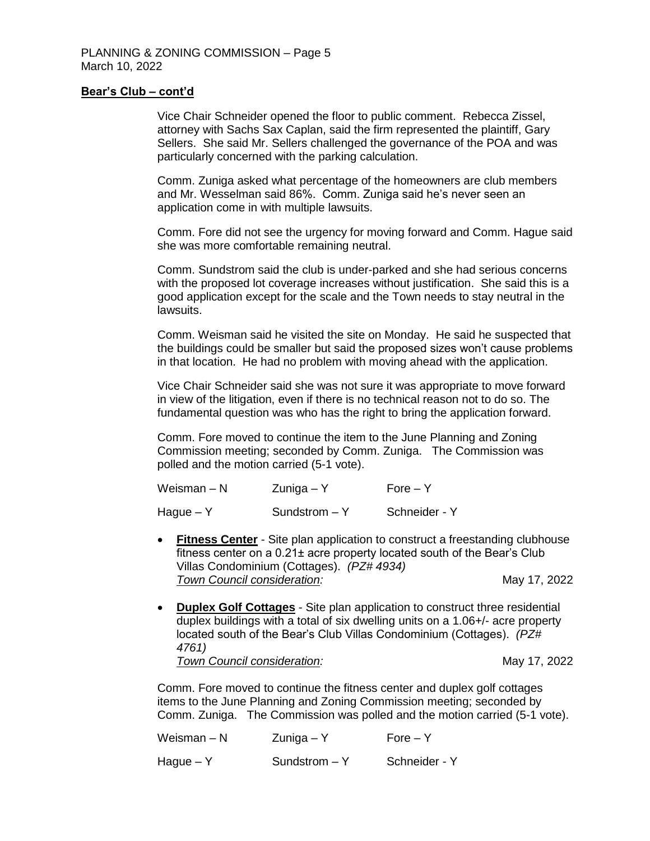#### **Bear's Club – cont'd**

Vice Chair Schneider opened the floor to public comment. Rebecca Zissel, attorney with Sachs Sax Caplan, said the firm represented the plaintiff, Gary Sellers. She said Mr. Sellers challenged the governance of the POA and was particularly concerned with the parking calculation.

Comm. Zuniga asked what percentage of the homeowners are club members and Mr. Wesselman said 86%. Comm. Zuniga said he's never seen an application come in with multiple lawsuits.

Comm. Fore did not see the urgency for moving forward and Comm. Hague said she was more comfortable remaining neutral.

Comm. Sundstrom said the club is under-parked and she had serious concerns with the proposed lot coverage increases without justification. She said this is a good application except for the scale and the Town needs to stay neutral in the lawsuits.

Comm. Weisman said he visited the site on Monday. He said he suspected that the buildings could be smaller but said the proposed sizes won't cause problems in that location. He had no problem with moving ahead with the application.

Vice Chair Schneider said she was not sure it was appropriate to move forward in view of the litigation, even if there is no technical reason not to do so. The fundamental question was who has the right to bring the application forward.

Comm. Fore moved to continue the item to the June Planning and Zoning Commission meeting; seconded by Comm. Zuniga. The Commission was polled and the motion carried (5-1 vote).

| Weisman – N | Zuniga – Y      | $Force - Y$   |
|-------------|-----------------|---------------|
| Hague – Y   | Sundstrom $- Y$ | Schneider - Y |

- **Fitness Center** Site plan application to construct a freestanding clubhouse fitness center on a 0.21± acre property located south of the Bear's Club Villas Condominium (Cottages). *(PZ# 4934)* **Town Council consideration:** May 17, 2022
- **Duplex Golf Cottages** Site plan application to construct three residential duplex buildings with a total of six dwelling units on a 1.06+/- acre property located south of the Bear's Club Villas Condominium (Cottages). *(PZ# 4761)* **Town Council consideration:** May 17, 2022

Comm. Fore moved to continue the fitness center and duplex golf cottages items to the June Planning and Zoning Commission meeting; seconded by Comm. Zuniga. The Commission was polled and the motion carried (5-1 vote).

| Weisman – N | $Z$ uniga – Y   | $Force - Y$   |
|-------------|-----------------|---------------|
| Hague – Y   | $Sundstrom - Y$ | Schneider - Y |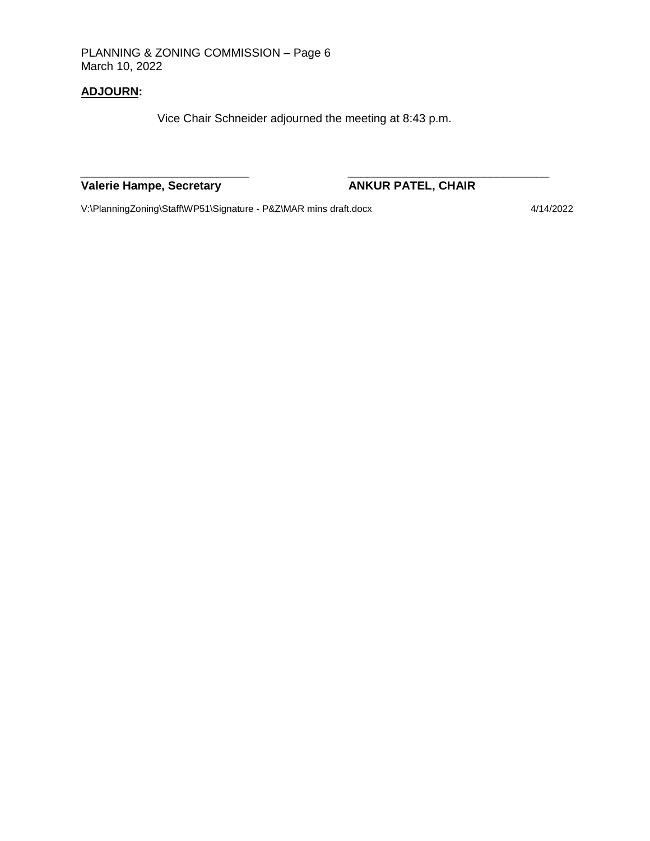PLANNING & ZONING COMMISSION – Page 6 March 10, 2022

### **ADJOURN:**

Vice Chair Schneider adjourned the meeting at 8:43 p.m.

*\_\_\_\_\_\_\_\_\_\_\_\_\_\_\_\_\_\_\_\_\_\_\_\_\_\_ \_\_\_\_\_\_\_\_\_\_\_\_\_\_\_\_\_\_\_\_\_\_\_\_\_\_\_\_\_\_\_*

## **Valerie Hampe, Secretary <b>ANKUR PATEL, CHAIR**

V:\PlanningZoning\Staff\WP51\Signature - P&Z\MAR mins draft.docx 4/14/2022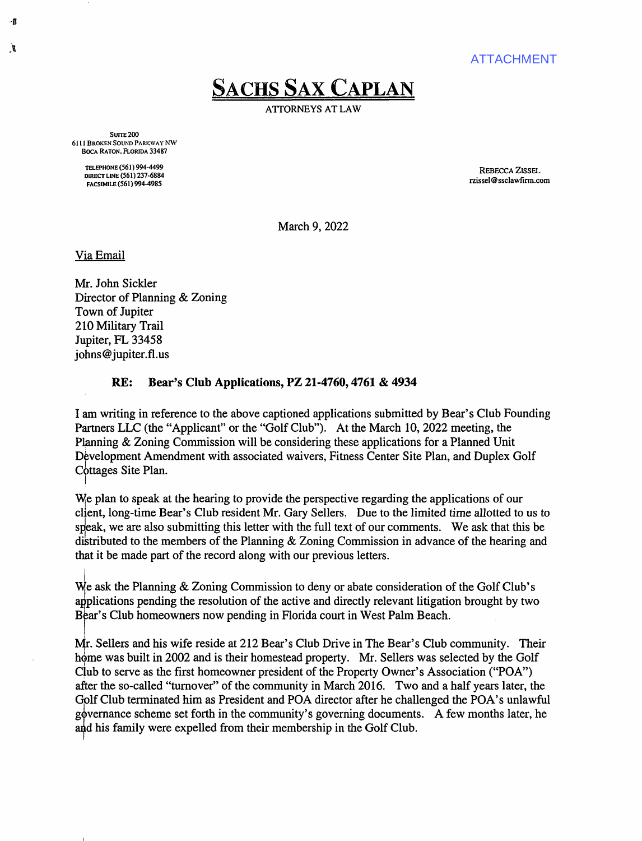ATTACHMENT

# **SACHS SAX CAPLAN**

ATIORNEYS AT LAW

SUITE<sub>200</sub> 6111 BROKEN SOUND PARKWAY NW BOCA RATON. FloRJDA 33487

> TELEPHONE (561) 994-4499 DIRECT LINE (561) 237-6884 FACSIMILE (561) 994-4985

REBECCA ZISSEL rzissel@ssclawfinn.com

March 9, 2022

Via Email

··8

Ĭ.

Mr. John Sickler Director of Planning & Zoning Town of Jupiter 210 Military Trail Jupiter, FL 33458 johns@jupiter.fl.us

#### **RE: Bear's Club Applications, PZ 21-4760, 4761 & 4934**

I am writing in reference to the above captioned applications submitted by Bear's Club Founding Partners LLC (the "Applicant" or the "Golf Club"). At the March 10, 2022 meeting, the Planning & Zoning Commission will be considering these applications for a Planned Unit Development Amendment with associated waivers, Fitness Center Site Plan, and Duplex Golf Cottages Site Plan. I

W<sub>ig</sub> plan to speak at the hearing to provide the perspective regarding the applications of our client, long-time Bear's Club resident Mr. Gary Sellers. Due to the limited time allotted to us to speak, we are also submitting this letter with the full text of our comments. We ask that this be diktributed to the members of the Planning & Zoning Commission in advance of the hearing and that it be made part of the record along with our previous letters.

l We ask the Planning & Zoning Commission to deny or abate consideration of the Golf Club's applications pending the resolution of the active and directly relevant litigation brought by two Bear's Club homeowners now pending in Florida court in West Palm Beach.

Mr. Sellers and his wife reside at 212 Bear's Club Drive in The Bear's Club community. Their home was built in 2002 and is their homestead property. Mr. Sellers was selected by the Golf Club to serve as the first homeowner president of the Property Owner's Association ("POA") after the so-called "turnover" of the community in March 2016. Two and a half years later, the Golf Club terminated him as President and POA director after he challenged the POA's unlawful governance scheme set forth in the community's governing documents. A few months later, he and his family were expelled from their membership in the Golf Club.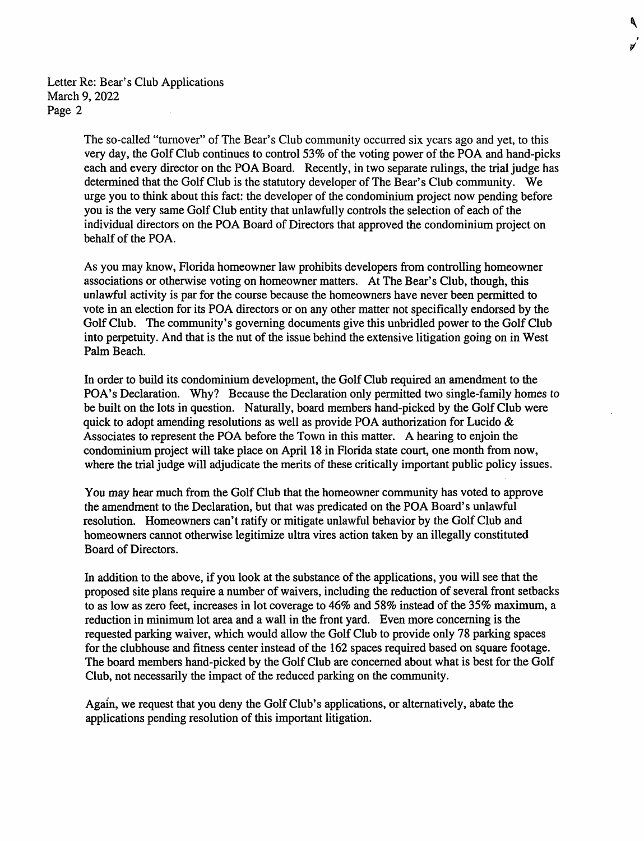Letter Re: Bear's Club Applications March 9, 2022 Page 2

> The so-called "turnover" of The Bear's Club community occurred six years ago and yet, to this very day, the Golf Club continues to control 53% of the voting power of the POA and hand-picks each and every director on the POA Board. Recently, in two separate rulings, the trial judge has determined that the Golf Club is the statutory developer of The Bear's Club community. We urge you to think about this fact: the developer of the condominium project now pending before you is the very same Golf Club entity that unlawfully controls the selection of each of the individual directors on the POA Board of Directors that approved the condominium project on behalf of the POA.

۹

√

As you may know, Florida homeowner law prohibits developers from controlling homeowner associations or otherwise voting on homeowner matters. At The Bear's Club, though, this unlawful activity is par for the course because the homeowners have never been permitted to vote in an election for its POA directors or on any other matter not specifically endorsed by the Golf Club. The community's governing documents give this unbridled power to the Golf Club into perpetuity. And that is the nut of the issue behind the extensive litigation going on in West Palm Beach.

In order to build its condominium development, the Golf Club required an amendment to the POA's Declaration. Why? Because the Declaration only permitted two single-family homes to be built on the lots in question. Naturally, board members hand-picked by the Golf Club were quick to adopt amending resolutions as well as provide POA authorization for Lucido & Associates to represent the POA before the Town in this matter. A hearing to enjoin the condominium project will take place on April 18 in Florida state court, one month from now, where the trial judge will adjudicate the merits of these critically important public policy issues.

You may hear much from the Golf Club that the homeowner community has voted to approve the amendment to the Declaration, but that was predicated on the POA Board's unlawful resolution. Homeowners can't ratify or mitigate unlawful behavior by the Golf Club and homeowners cannot otherwise legitimize ultra vires action taken by an illegally constituted Board of Directors.

In addition to the above, if you look at the substance of the applications, you will see that the proposed site plans require a number of waivers, including the reduction of several front setbacks to as low as zero feet, increases in lot coverage to 46% and 58% instead of the 35% maximum, a reduction in minimum lot area and a wall in the front yard. Even more concerning is the requested parking waiver, which would allow the Golf Club to provide only 78 parking spaces for the clubhouse and fitness center instead of the 162 spaces required based on square footage. The board members hand-picked by the Golf Club are concerned about what is best for the Golf Club, not necessarily the impact of the reduced parking on the community.

Again, we request that you deny the Golf Club's applications, or alternatively, abate the applications pending resolution of this important litigation.